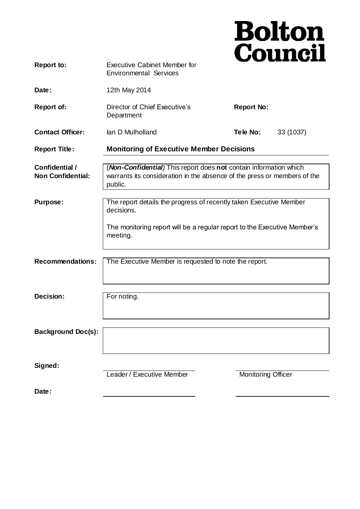|                                                   |                                                                                                                                                          | <b>Bolton<br/>Council</b> |  |
|---------------------------------------------------|----------------------------------------------------------------------------------------------------------------------------------------------------------|---------------------------|--|
| <b>Report to:</b>                                 | <b>Executive Cabinet Member for</b><br><b>Environmental Services</b>                                                                                     |                           |  |
| Date:                                             | 12th May 2014                                                                                                                                            |                           |  |
| <b>Report of:</b>                                 | Director of Chief Executive's<br>Department                                                                                                              | <b>Report No:</b>         |  |
| <b>Contact Officer:</b>                           | lan D Mulholland                                                                                                                                         | Tele No:<br>33 (1037)     |  |
| <b>Report Title:</b>                              | <b>Monitoring of Executive Member Decisions</b>                                                                                                          |                           |  |
| <b>Confidential /</b><br><b>Non Confidential:</b> | (Non-Confidential) This report does not contain information which<br>warrants its consideration in the absence of the press or members of the<br>public. |                           |  |
| Purpose:                                          | The report details the progress of recently taken Executive Member<br>decisions.                                                                         |                           |  |
|                                                   | The monitoring report will be a regular report to the Executive Member's<br>meeting.                                                                     |                           |  |
| <b>Recommendations:</b>                           | The Executive Member is requested to note the report.                                                                                                    |                           |  |
| Decision:                                         | For noting.                                                                                                                                              |                           |  |
| <b>Background Doc(s):</b>                         |                                                                                                                                                          |                           |  |
| Signed:                                           | Leader / Executive Member                                                                                                                                | <b>Monitoring Officer</b> |  |
| Date:                                             |                                                                                                                                                          |                           |  |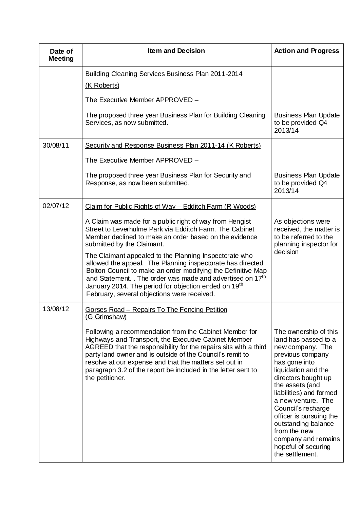| Date of<br><b>Meeting</b> | Item and Decision                                                                                                                                                                                                                                                                                                                                                                             | <b>Action and Progress</b>                                                                                                                                                                                                                                                                                                                                                        |
|---------------------------|-----------------------------------------------------------------------------------------------------------------------------------------------------------------------------------------------------------------------------------------------------------------------------------------------------------------------------------------------------------------------------------------------|-----------------------------------------------------------------------------------------------------------------------------------------------------------------------------------------------------------------------------------------------------------------------------------------------------------------------------------------------------------------------------------|
|                           | Building Cleaning Services Business Plan 2011-2014<br>(K Roberts)                                                                                                                                                                                                                                                                                                                             |                                                                                                                                                                                                                                                                                                                                                                                   |
|                           | The Executive Member APPROVED -                                                                                                                                                                                                                                                                                                                                                               |                                                                                                                                                                                                                                                                                                                                                                                   |
|                           | The proposed three year Business Plan for Building Cleaning<br>Services, as now submitted.                                                                                                                                                                                                                                                                                                    | <b>Business Plan Update</b><br>to be provided Q4<br>2013/14                                                                                                                                                                                                                                                                                                                       |
| 30/08/11                  | Security and Response Business Plan 2011-14 (K Roberts)                                                                                                                                                                                                                                                                                                                                       |                                                                                                                                                                                                                                                                                                                                                                                   |
|                           | The Executive Member APPROVED -                                                                                                                                                                                                                                                                                                                                                               |                                                                                                                                                                                                                                                                                                                                                                                   |
|                           | The proposed three year Business Plan for Security and<br>Response, as now been submitted.                                                                                                                                                                                                                                                                                                    | <b>Business Plan Update</b><br>to be provided Q4<br>2013/14                                                                                                                                                                                                                                                                                                                       |
| 02/07/12                  | Claim for Public Rights of Way - Edditch Farm (R Woods)                                                                                                                                                                                                                                                                                                                                       |                                                                                                                                                                                                                                                                                                                                                                                   |
|                           | A Claim was made for a public right of way from Hengist<br>Street to Leverhulme Park via Edditch Farm. The Cabinet<br>Member declined to make an order based on the evidence<br>submitted by the Claimant.                                                                                                                                                                                    | As objections were<br>received, the matter is<br>to be referred to the<br>planning inspector for<br>decision                                                                                                                                                                                                                                                                      |
|                           | The Claimant appealed to the Planning Inspectorate who<br>allowed the appeal. The Planning inspectorate has directed<br>Bolton Council to make an order modifying the Definitive Map<br>and Statement. . The order was made and advertised on 17 <sup>th</sup><br>January 2014. The period for objection ended on 19 <sup>th</sup><br>February, several objections were received.             |                                                                                                                                                                                                                                                                                                                                                                                   |
| 13/08/12                  | <b>Gorses Road - Repairs To The Fencing Petition</b><br>(G Grimshaw)                                                                                                                                                                                                                                                                                                                          |                                                                                                                                                                                                                                                                                                                                                                                   |
|                           | Following a recommendation from the Cabinet Member for<br>Highways and Transport, the Executive Cabinet Member<br>AGREED that the responsibility for the repairs sits with a third<br>party land owner and is outside of the Council's remit to<br>resolve at our expense and that the matters set out in<br>paragraph 3.2 of the report be included in the letter sent to<br>the petitioner. | The ownership of this<br>land has passed to a<br>new company. The<br>previous company<br>has gone into<br>liquidation and the<br>directors bought up<br>the assets (and<br>liabilities) and formed<br>a new venture. The<br>Council's recharge<br>officer is pursuing the<br>outstanding balance<br>from the new<br>company and remains<br>hopeful of securing<br>the settlement. |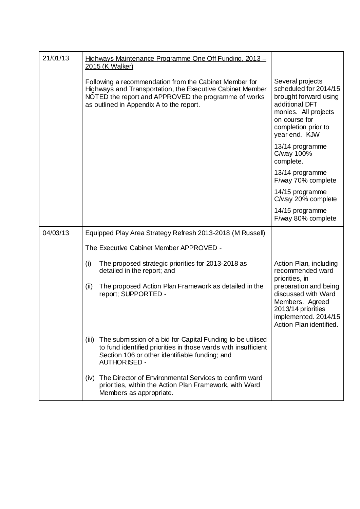| 21/01/13 |       | Highways Maintenance Programme One Off Funding, 2013 -<br>2015 (K Walker)                                                                                                                                               |                                                                                                                                                                       |
|----------|-------|-------------------------------------------------------------------------------------------------------------------------------------------------------------------------------------------------------------------------|-----------------------------------------------------------------------------------------------------------------------------------------------------------------------|
|          |       | Following a recommendation from the Cabinet Member for<br>Highways and Transportation, the Executive Cabinet Member<br>NOTED the report and APPROVED the programme of works<br>as outlined in Appendix A to the report. | Several projects<br>scheduled for 2014/15<br>brought forward using<br>additional DFT<br>monies. All projects<br>on course for<br>completion prior to<br>year end. KJW |
|          |       |                                                                                                                                                                                                                         | 13/14 programme<br>C/way 100%<br>complete.                                                                                                                            |
|          |       |                                                                                                                                                                                                                         | 13/14 programme<br>F/way 70% complete                                                                                                                                 |
|          |       |                                                                                                                                                                                                                         | 14/15 programme<br>C/way 20% complete                                                                                                                                 |
|          |       |                                                                                                                                                                                                                         | 14/15 programme<br>F/way 80% complete                                                                                                                                 |
| 04/03/13 |       | <b>Equipped Play Area Strategy Refresh 2013-2018 (M Russell)</b>                                                                                                                                                        |                                                                                                                                                                       |
|          |       | The Executive Cabinet Member APPROVED -                                                                                                                                                                                 |                                                                                                                                                                       |
|          | (i)   | The proposed strategic priorities for 2013-2018 as<br>detailed in the report; and                                                                                                                                       | Action Plan, including<br>recommended ward                                                                                                                            |
|          | (ii)  | The proposed Action Plan Framework as detailed in the<br>report; SUPPORTED -                                                                                                                                            | priorities, in<br>preparation and being<br>discussed with Ward<br>Members. Agreed<br>2013/14 priorities<br>implemented. 2014/15<br>Action Plan identified.            |
|          | (iii) | The submission of a bid for Capital Funding to be utilised<br>to fund identified priorities in those wards with insufficient<br>Section 106 or other identifiable funding; and<br><b>AUTHORISED -</b>                   |                                                                                                                                                                       |
|          | (iv)  | The Director of Environmental Services to confirm ward<br>priorities, within the Action Plan Framework, with Ward<br>Members as appropriate.                                                                            |                                                                                                                                                                       |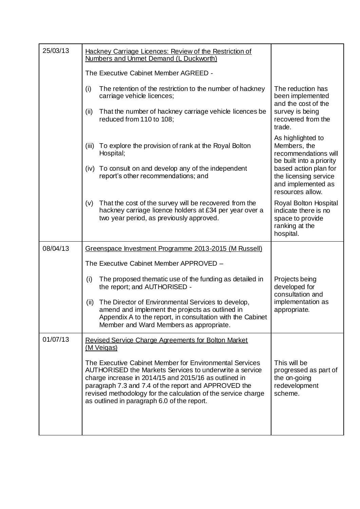| 25/03/13 | Hackney Carriage Licences: Review of the Restriction of<br>Numbers and Unmet Demand (L Duckworth)                                                                                                                                                                                                                                                   |                                                                                                                                                                                   |
|----------|-----------------------------------------------------------------------------------------------------------------------------------------------------------------------------------------------------------------------------------------------------------------------------------------------------------------------------------------------------|-----------------------------------------------------------------------------------------------------------------------------------------------------------------------------------|
|          | The Executive Cabinet Member AGREED -                                                                                                                                                                                                                                                                                                               |                                                                                                                                                                                   |
|          | The retention of the restriction to the number of hackney<br>(i)<br>carriage vehicle licences;<br>That the number of hackney carriage vehicle licences be<br>(ii)<br>reduced from 110 to 108;                                                                                                                                                       | The reduction has<br>been implemented<br>and the cost of the<br>survey is being<br>recovered from the<br>trade.                                                                   |
|          | To explore the provision of rank at the Royal Bolton<br>(iii)<br>Hospital;<br>To consult on and develop any of the independent<br>(iv)<br>report's other recommendations; and                                                                                                                                                                       | As highlighted to<br>Members, the<br>recommendations will<br>be built into a priority<br>based action plan for<br>the licensing service<br>and implemented as<br>resources allow. |
|          | That the cost of the survey will be recovered from the<br>(v)<br>hackney carriage licence holders at £34 per year over a<br>two year period, as previously approved.                                                                                                                                                                                | Royal Bolton Hospital<br>indicate there is no<br>space to provide<br>ranking at the<br>hospital.                                                                                  |
| 08/04/13 | Greenspace Investment Programme 2013-2015 (M Russell)                                                                                                                                                                                                                                                                                               |                                                                                                                                                                                   |
|          | The Executive Cabinet Member APPROVED -                                                                                                                                                                                                                                                                                                             |                                                                                                                                                                                   |
|          | The proposed thematic use of the funding as detailed in<br>(i)<br>the report; and AUTHORISED -                                                                                                                                                                                                                                                      | Projects being<br>developed for<br>consultation and                                                                                                                               |
|          | The Director of Environmental Services to develop,<br>(ii)<br>amend and implement the projects as outlined in<br>Appendix A to the report, in consultation with the Cabinet<br>Member and Ward Members as appropriate.                                                                                                                              | implementation as<br>appropriate.                                                                                                                                                 |
| 01/07/13 | <b>Revised Service Charge Agreements for Bolton Market</b><br>(M Veigas)                                                                                                                                                                                                                                                                            |                                                                                                                                                                                   |
|          | The Executive Cabinet Member for Environmental Services<br>AUTHORISED the Markets Services to underwrite a service<br>charge increase in 2014/15 and 2015/16 as outlined in<br>paragraph 7.3 and 7.4 of the report and APPROVED the<br>revised methodology for the calculation of the service charge<br>as outlined in paragraph 6.0 of the report. | This will be<br>progressed as part of<br>the on-going<br>redevelopment<br>scheme.                                                                                                 |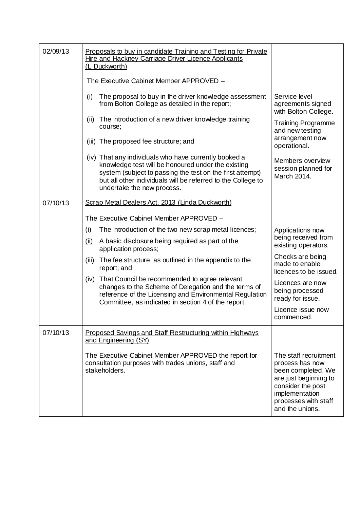| 02/09/13 | Proposals to buy in candidate Training and Testing for Private<br>Hire and Hackney Carriage Driver Licence Applicants<br>(L Duckworth)                                                                                                                                 |                                                                                                                                                                           |
|----------|------------------------------------------------------------------------------------------------------------------------------------------------------------------------------------------------------------------------------------------------------------------------|---------------------------------------------------------------------------------------------------------------------------------------------------------------------------|
|          | The Executive Cabinet Member APPROVED -                                                                                                                                                                                                                                |                                                                                                                                                                           |
|          | The proposal to buy in the driver knowledge assessment<br>(i)<br>from Bolton College as detailed in the report;                                                                                                                                                        | Service level<br>agreements signed<br>with Bolton College.                                                                                                                |
|          | The introduction of a new driver knowledge training<br>(ii)<br>course;                                                                                                                                                                                                 | <b>Training Programme</b><br>and new testing<br>arrangement now                                                                                                           |
|          | (iii) The proposed fee structure; and                                                                                                                                                                                                                                  | operational.                                                                                                                                                              |
|          | (iv) That any individuals who have currently booked a<br>knowledge test will be honoured under the existing<br>system (subject to passing the test on the first attempt)<br>but all other individuals will be referred to the College to<br>undertake the new process. | Members overview<br>session planned for<br>March 2014.                                                                                                                    |
| 07/10/13 | Scrap Metal Dealers Act, 2013 (Linda Duckworth)                                                                                                                                                                                                                        |                                                                                                                                                                           |
|          | The Executive Cabinet Member APPROVED -                                                                                                                                                                                                                                |                                                                                                                                                                           |
|          | The introduction of the two new scrap metal licences;<br>(i)                                                                                                                                                                                                           | Applications now                                                                                                                                                          |
|          | A basic disclosure being required as part of the<br>(ii)<br>application process;                                                                                                                                                                                       | being received from<br>existing operators.                                                                                                                                |
|          | The fee structure, as outlined in the appendix to the<br>(iii)<br>report; and                                                                                                                                                                                          | Checks are being<br>made to enable<br>licences to be issued.                                                                                                              |
|          | That Council be recommended to agree relevant<br>(iv)<br>changes to the Scheme of Delegation and the terms of<br>reference of the Licensing and Environmental Regulation<br>Committee, as indicated in section 4 of the report.                                        | Licences are now<br>being processed<br>ready for issue.                                                                                                                   |
|          |                                                                                                                                                                                                                                                                        | Licence issue now<br>commenced.                                                                                                                                           |
| 07/10/13 | Proposed Savings and Staff Restructuring within Highways<br>and Engineering (SY)                                                                                                                                                                                       |                                                                                                                                                                           |
|          | The Executive Cabinet Member APPROVED the report for<br>consultation purposes with trades unions, staff and<br>stakeholders.                                                                                                                                           | The staff recruitment<br>process has now<br>been completed. We<br>are just beginning to<br>consider the post<br>implementation<br>processes with staff<br>and the unions. |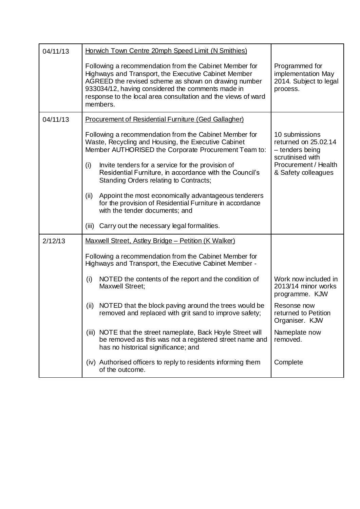| 04/11/13 | Horwich Town Centre 20mph Speed Limit (N Smithies)                                                                                                                                                                                                                                                       |                                                                               |
|----------|----------------------------------------------------------------------------------------------------------------------------------------------------------------------------------------------------------------------------------------------------------------------------------------------------------|-------------------------------------------------------------------------------|
|          | Following a recommendation from the Cabinet Member for<br>Highways and Transport, the Executive Cabinet Member<br>AGREED the revised scheme as shown on drawing number<br>933034/12, having considered the comments made in<br>response to the local area consultation and the views of ward<br>members. | Programmed for<br>implementation May<br>2014. Subject to legal<br>process.    |
| 04/11/13 | <b>Procurement of Residential Furniture (Ged Gallagher)</b>                                                                                                                                                                                                                                              |                                                                               |
|          | Following a recommendation from the Cabinet Member for<br>Waste, Recycling and Housing, the Executive Cabinet<br>Member AUTHORISED the Corporate Procurement Team to:                                                                                                                                    | 10 submissions<br>returned on 25.02.14<br>- tenders being<br>scrutinised with |
|          | Invite tenders for a service for the provision of<br>(i)<br>Residential Furniture, in accordance with the Council's<br>Standing Orders relating to Contracts;                                                                                                                                            | Procurement / Health<br>& Safety colleagues                                   |
|          | Appoint the most economically advantageous tenderers<br>(ii)<br>for the provision of Residential Furniture in accordance<br>with the tender documents; and                                                                                                                                               |                                                                               |
|          | Carry out the necessary legal formalities.<br>(iii)                                                                                                                                                                                                                                                      |                                                                               |
| 2/12/13  | Maxwell Street, Astley Bridge - Petition (K Walker)                                                                                                                                                                                                                                                      |                                                                               |
|          | Following a recommendation from the Cabinet Member for<br>Highways and Transport, the Executive Cabinet Member -                                                                                                                                                                                         |                                                                               |
|          | NOTED the contents of the report and the condition of<br>(i)<br>Maxwell Street;                                                                                                                                                                                                                          | Work now included in<br>2013/14 minor works<br>programme. KJW                 |
|          | NOTED that the block paving around the trees would be<br>(ii)<br>removed and replaced with grit sand to improve safety;                                                                                                                                                                                  | Resonse now<br>returned to Petition<br>Organiser. KJW                         |
|          | NOTE that the street nameplate, Back Hoyle Street will<br>(iii)<br>be removed as this was not a registered street name and<br>has no historical significance; and                                                                                                                                        | Nameplate now<br>removed.                                                     |
|          | (iv) Authorised officers to reply to residents informing them<br>of the outcome.                                                                                                                                                                                                                         | Complete                                                                      |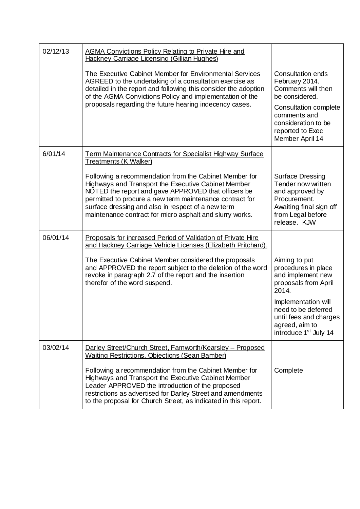| 02/12/13 | <b>AGMA Convictions Policy Relating to Private Hire and</b><br><b>Hackney Carriage Licensing (Gillian Hughes)</b>                                                                                                                                                                                                                                  |                                                                                                                                           |
|----------|----------------------------------------------------------------------------------------------------------------------------------------------------------------------------------------------------------------------------------------------------------------------------------------------------------------------------------------------------|-------------------------------------------------------------------------------------------------------------------------------------------|
|          | The Executive Cabinet Member for Environmental Services<br>AGREED to the undertaking of a consultation exercise as<br>detailed in the report and following this consider the adoption<br>of the AGMA Convictions Policy and implementation of the                                                                                                  | <b>Consultation ends</b><br>February 2014.<br>Comments will then<br>be considered.                                                        |
|          | proposals regarding the future hearing indecency cases.                                                                                                                                                                                                                                                                                            | Consultation complete<br>comments and<br>consideration to be<br>reported to Exec<br>Member April 14                                       |
| 6/01/14  | <b>Term Maintenance Contracts for Specialist Highway Surface</b><br><b>Treatments (K Walker)</b>                                                                                                                                                                                                                                                   |                                                                                                                                           |
|          | Following a recommendation from the Cabinet Member for<br>Highways and Transport the Executive Cabinet Member<br>NOTED the report and gave APPROVED that officers be<br>permitted to procure a new term maintenance contract for<br>surface dressing and also in respect of a new term<br>maintenance contract for micro asphalt and slurry works. | Surface Dressing<br>Tender now written<br>and approved by<br>Procurement.<br>Awaiting final sign off<br>from Legal before<br>release. KJW |
| 06/01/14 | Proposals for increased Period of Validation of Private Hire<br>and Hackney Carriage Vehicle Licenses (Elizabeth Pritchard).                                                                                                                                                                                                                       |                                                                                                                                           |
|          | The Executive Cabinet Member considered the proposals<br>and APPROVED the report subject to the deletion of the word<br>revoke in paragraph 2.7 of the report and the insertion<br>therefor of the word suspend.                                                                                                                                   | Aiming to put<br>procedures in place<br>and implement new<br>proposals from April<br>2014.                                                |
|          |                                                                                                                                                                                                                                                                                                                                                    | Implementation will<br>need to be deferred<br>until fees and charges<br>agreed, aim to<br>introduce 1 <sup>st</sup> July 14               |
| 03/02/14 | Darley Street/Church Street, Farnworth/Kearsley - Proposed<br><b>Waiting Restrictions, Objections (Sean Bamber)</b>                                                                                                                                                                                                                                |                                                                                                                                           |
|          | Following a recommendation from the Cabinet Member for<br>Highways and Transport the Executive Cabinet Member<br>Leader APPROVED the introduction of the proposed<br>restrictions as advertised for Darley Street and amendments<br>to the proposal for Church Street, as indicated in this report.                                                | Complete                                                                                                                                  |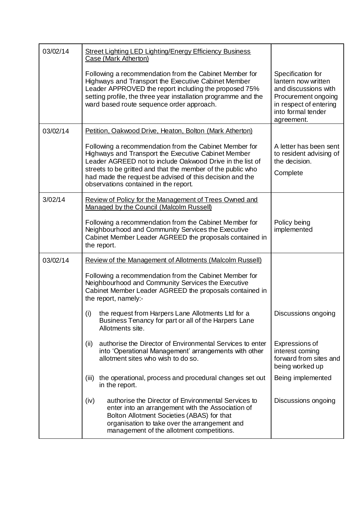| 03/02/14 | <b>Street Lighting LED Lighting/Energy Efficiency Business</b><br>Case (Mark Atherton)                                                                                                                                                                                                                                                         |                                                                                                                                                       |
|----------|------------------------------------------------------------------------------------------------------------------------------------------------------------------------------------------------------------------------------------------------------------------------------------------------------------------------------------------------|-------------------------------------------------------------------------------------------------------------------------------------------------------|
|          | Following a recommendation from the Cabinet Member for<br>Highways and Transport the Executive Cabinet Member<br>Leader APPROVED the report including the proposed 75%<br>setting profile, the three year installation programme and the<br>ward based route sequence order approach.                                                          | Specification for<br>lantern now written<br>and discussions with<br>Procurement ongoing<br>in respect of entering<br>into formal tender<br>agreement. |
| 03/02/14 | Petition, Oakwood Drive, Heaton, Bolton (Mark Atherton)                                                                                                                                                                                                                                                                                        |                                                                                                                                                       |
|          | Following a recommendation from the Cabinet Member for<br>Highways and Transport the Executive Cabinet Member<br>Leader AGREED not to include Oakwood Drive in the list of<br>streets to be gritted and that the member of the public who<br>had made the request be advised of this decision and the<br>observations contained in the report. | A letter has been sent<br>to resident advising of<br>the decision.<br>Complete                                                                        |
| 3/02/14  | Review of Policy for the Management of Trees Owned and<br>Managed by the Council (Malcolm Russell)                                                                                                                                                                                                                                             |                                                                                                                                                       |
|          | Following a recommendation from the Cabinet Member for<br>Neighbourhood and Community Services the Executive<br>Cabinet Member Leader AGREED the proposals contained in<br>the report.                                                                                                                                                         | Policy being<br>implemented                                                                                                                           |
| 03/02/14 | <b>Review of the Management of Allotments (Malcolm Russell)</b>                                                                                                                                                                                                                                                                                |                                                                                                                                                       |
|          | Following a recommendation from the Cabinet Member for<br>Neighbourhood and Community Services the Executive<br>Cabinet Member Leader AGREED the proposals contained in<br>the report, namely:-                                                                                                                                                |                                                                                                                                                       |
|          | (i) the request from Harpers Lane Allotments Ltd for a<br>Business Tenancy for part or all of the Harpers Lane<br>Allotments site.                                                                                                                                                                                                             | Discussions ongoing                                                                                                                                   |
|          | authorise the Director of Environmental Services to enter<br>(ii)<br>into 'Operational Management' arrangements with other<br>allotment sites who wish to do so.                                                                                                                                                                               | Expressions of<br>interest coming<br>forward from sites and<br>being worked up                                                                        |
|          | the operational, process and procedural changes set out<br>(iii)<br>in the report.                                                                                                                                                                                                                                                             | Being implemented                                                                                                                                     |
|          | authorise the Director of Environmental Services to<br>(iv)<br>enter into an arrangement with the Association of<br>Bolton Allotment Societies (ABAS) for that<br>organisation to take over the arrangement and<br>management of the allotment competitions.                                                                                   | Discussions ongoing                                                                                                                                   |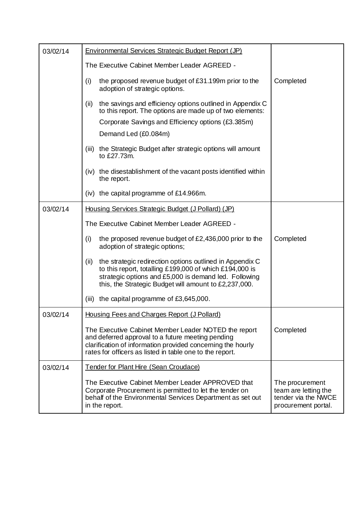| 03/02/14 | <b>Environmental Services Strategic Budget Report (JP)</b>                                                                                                                                                                                    |                                                                                       |
|----------|-----------------------------------------------------------------------------------------------------------------------------------------------------------------------------------------------------------------------------------------------|---------------------------------------------------------------------------------------|
|          | The Executive Cabinet Member Leader AGREED -                                                                                                                                                                                                  |                                                                                       |
|          | the proposed revenue budget of £31.199m prior to the<br>(i)<br>adoption of strategic options.                                                                                                                                                 | Completed                                                                             |
|          | the savings and efficiency options outlined in Appendix C<br>(ii)<br>to this report. The options are made up of two elements:                                                                                                                 |                                                                                       |
|          | Corporate Savings and Efficiency options (£3.385m)                                                                                                                                                                                            |                                                                                       |
|          | Demand Led (£0.084m)                                                                                                                                                                                                                          |                                                                                       |
|          | the Strategic Budget after strategic options will amount<br>(iii)<br>to £27.73m.                                                                                                                                                              |                                                                                       |
|          | the disestablishment of the vacant posts identified within<br>(iv)<br>the report.                                                                                                                                                             |                                                                                       |
|          | $(iv)$ the capital programme of £14.966m.                                                                                                                                                                                                     |                                                                                       |
| 03/02/14 | Housing Services Strategic Budget (J Pollard) (JP)                                                                                                                                                                                            |                                                                                       |
|          | The Executive Cabinet Member Leader AGREED -                                                                                                                                                                                                  |                                                                                       |
|          | the proposed revenue budget of £2,436,000 prior to the<br>(i)<br>adoption of strategic options;                                                                                                                                               | Completed                                                                             |
|          | the strategic redirection options outlined in Appendix C<br>(ii)<br>to this report, totalling £199,000 of which £194,000 is<br>strategic options and £5,000 is demand led. Following<br>this, the Strategic Budget will amount to £2,237,000. |                                                                                       |
|          | the capital programme of £3,645,000.<br>(iii)                                                                                                                                                                                                 |                                                                                       |
| 03/02/14 | Housing Fees and Charges Report (J Pollard)                                                                                                                                                                                                   |                                                                                       |
|          | The Executive Cabinet Member Leader NOTED the report<br>and deferred approval to a future meeting pending<br>clarification of information provided concerning the hourly<br>rates for officers as listed in table one to the report.          | Completed                                                                             |
| 03/02/14 | Tender for Plant Hire (Sean Croudace)                                                                                                                                                                                                         |                                                                                       |
|          | The Executive Cabinet Member Leader APPROVED that<br>Corporate Procurement is permitted to let the tender on<br>behalf of the Environmental Services Department as set out<br>in the report.                                                  | The procurement<br>team are letting the<br>tender via the NWCE<br>procurement portal. |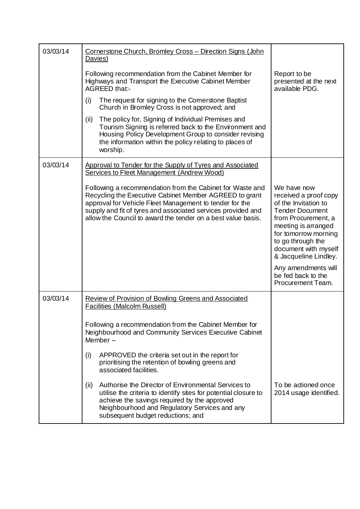| 03/03/14 | Cornerstone Church, Bromley Cross - Direction Signs (John<br>Davies)                                                                                                                                                                                                                                           |                                                                                                                                                                                                                                    |
|----------|----------------------------------------------------------------------------------------------------------------------------------------------------------------------------------------------------------------------------------------------------------------------------------------------------------------|------------------------------------------------------------------------------------------------------------------------------------------------------------------------------------------------------------------------------------|
|          | Following recommendation from the Cabinet Member for<br>Highways and Transport the Executive Cabinet Member<br>AGREED that:-                                                                                                                                                                                   | Report to be<br>presented at the next<br>available PDG.                                                                                                                                                                            |
|          | The request for signing to the Cornerstone Baptist<br>(i)<br>Church in Bromley Cross is not approved; and                                                                                                                                                                                                      |                                                                                                                                                                                                                                    |
|          | The policy for, Signing of Individual Premises and<br>(ii)<br>Tourism Signing is referred back to the Environment and<br>Housing Policy Development Group to consider revising<br>the information within the policy relating to places of<br>worship.                                                          |                                                                                                                                                                                                                                    |
| 03/03/14 | Approval to Tender for the Supply of Tyres and Associated<br>Services to Fleet Management (Andrew Wood)                                                                                                                                                                                                        |                                                                                                                                                                                                                                    |
|          | Following a recommendation from the Cabinet for Waste and<br>Recycling the Executive Cabinet Member AGREED to grant<br>approval for Vehicle Fleet Management to tender for the<br>supply and fit of tyres and associated services provided and<br>allow the Council to award the tender on a best value basis. | We have now<br>received a proof copy<br>of the Invitation to<br><b>Tender Document</b><br>from Procurement, a<br>meeting is arranged<br>for tomorrow morning<br>to go through the<br>document with myself<br>& Jacqueline Lindley. |
|          |                                                                                                                                                                                                                                                                                                                | Any amendments will<br>be fed back to the<br>Procurement Team.                                                                                                                                                                     |
| 03/03/14 | Review of Provision of Bowling Greens and Associated<br><b>Facilities (Malcolm Russell)</b>                                                                                                                                                                                                                    |                                                                                                                                                                                                                                    |
|          | Following a recommendation from the Cabinet Member for<br>Neighbourhood and Community Services Executive Cabinet<br>Member $-$                                                                                                                                                                                 |                                                                                                                                                                                                                                    |
|          | (i)<br>APPROVED the criteria set out in the report for<br>prioritising the retention of bowling greens and<br>associated facilities.                                                                                                                                                                           |                                                                                                                                                                                                                                    |
|          | Authorise the Director of Environmental Services to<br>(ii)<br>utilise the criteria to identify sites for potential closure to<br>achieve the savings required by the approved<br>Neighbourhood and Regulatory Services and any<br>subsequent budget reductions; and                                           | To be actioned once<br>2014 usage identified.                                                                                                                                                                                      |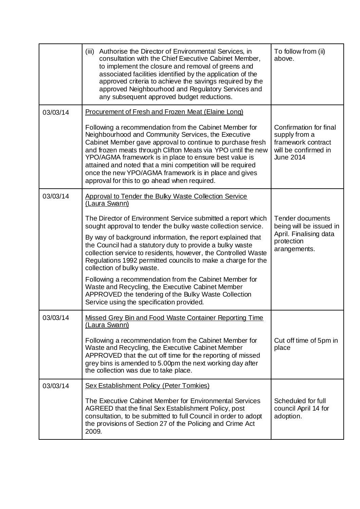|          | Authorise the Director of Environmental Services, in<br>(iii)<br>consultation with the Chief Executive Cabinet Member,<br>to implement the closure and removal of greens and<br>associated facilities identified by the application of the<br>approved criteria to achieve the savings required by the<br>approved Neighbourhood and Regulatory Services and<br>any subsequent approved budget reductions.                                                                                                                                                                                                                                    | To follow from (ii)<br>above.                                                                              |
|----------|-----------------------------------------------------------------------------------------------------------------------------------------------------------------------------------------------------------------------------------------------------------------------------------------------------------------------------------------------------------------------------------------------------------------------------------------------------------------------------------------------------------------------------------------------------------------------------------------------------------------------------------------------|------------------------------------------------------------------------------------------------------------|
| 03/03/14 | <b>Procurement of Fresh and Frozen Meat (Elaine Long)</b>                                                                                                                                                                                                                                                                                                                                                                                                                                                                                                                                                                                     |                                                                                                            |
|          | Following a recommendation from the Cabinet Member for<br>Neighbourhood and Community Services, the Executive<br>Cabinet Member gave approval to continue to purchase fresh<br>and frozen meats through Clifton Meats via YPO until the new<br>YPO/AGMA framework is in place to ensure best value is<br>attained and noted that a mini competition will be required<br>once the new YPO/AGMA framework is in place and gives<br>approval for this to go ahead when required.                                                                                                                                                                 | Confirmation for final<br>supply from a<br>framework contract<br>will be confirmed in<br><b>June 2014</b>  |
| 03/03/14 | Approval to Tender the Bulky Waste Collection Service<br>(Laura Swann)                                                                                                                                                                                                                                                                                                                                                                                                                                                                                                                                                                        |                                                                                                            |
|          | The Director of Environment Service submitted a report which<br>sought approval to tender the bulky waste collection service.<br>By way of background information, the report explained that<br>the Council had a statutory duty to provide a bulky waste<br>collection service to residents, however, the Controlled Waste<br>Regulations 1992 permitted councils to make a charge for the<br>collection of bulky waste.<br>Following a recommendation from the Cabinet Member for<br>Waste and Recycling, the Executive Cabinet Member<br>APPROVED the tendering of the Bulky Waste Collection<br>Service using the specification provided. | <b>Tender documents</b><br>being will be issued in<br>April. Finalising data<br>protection<br>arangements. |
| 03/03/14 | Missed Grey Bin and Food Waste Container Reporting Time<br>(Laura Swann)                                                                                                                                                                                                                                                                                                                                                                                                                                                                                                                                                                      |                                                                                                            |
|          | Following a recommendation from the Cabinet Member for<br>Waste and Recycling, the Executive Cabinet Member<br>APPROVED that the cut off time for the reporting of missed<br>grey bins is amended to 5.00pm the next working day after<br>the collection was due to take place.                                                                                                                                                                                                                                                                                                                                                               | Cut off time of 5pm in<br>place                                                                            |
| 03/03/14 | <b>Sex Establishment Policy (Peter Tomkies)</b>                                                                                                                                                                                                                                                                                                                                                                                                                                                                                                                                                                                               |                                                                                                            |
|          | The Executive Cabinet Member for Environmental Services<br>AGREED that the final Sex Establishment Policy, post<br>consultation, to be submitted to full Council in order to adopt<br>the provisions of Section 27 of the Policing and Crime Act<br>2009.                                                                                                                                                                                                                                                                                                                                                                                     | Scheduled for full<br>council April 14 for<br>adoption.                                                    |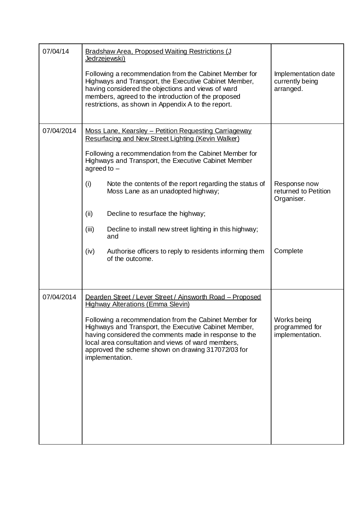| 07/04/14   | Bradshaw Area, Proposed Waiting Restrictions (J<br>Jedrzejewski)                                                                                                                                                                                                                                         |                                                     |
|------------|----------------------------------------------------------------------------------------------------------------------------------------------------------------------------------------------------------------------------------------------------------------------------------------------------------|-----------------------------------------------------|
|            | Following a recommendation from the Cabinet Member for<br>Highways and Transport, the Executive Cabinet Member,<br>having considered the objections and views of ward<br>members, agreed to the introduction of the proposed<br>restrictions, as shown in Appendix A to the report.                      | Implementation date<br>currently being<br>arranged. |
| 07/04/2014 | Moss Lane, Kearsley - Petition Requesting Carriageway<br>Resurfacing and New Street Lighting (Kevin Walker)                                                                                                                                                                                              |                                                     |
|            | Following a recommendation from the Cabinet Member for<br>Highways and Transport, the Executive Cabinet Member<br>agreed to $-$                                                                                                                                                                          |                                                     |
|            | (i)<br>Note the contents of the report regarding the status of<br>Moss Lane as an unadopted highway;                                                                                                                                                                                                     | Response now<br>returned to Petition<br>Organiser.  |
|            | (ii)<br>Decline to resurface the highway;                                                                                                                                                                                                                                                                |                                                     |
|            | (iii)<br>Decline to install new street lighting in this highway;<br>and                                                                                                                                                                                                                                  |                                                     |
|            | (iv)<br>Authorise officers to reply to residents informing them<br>of the outcome.                                                                                                                                                                                                                       | Complete                                            |
|            |                                                                                                                                                                                                                                                                                                          |                                                     |
| 07/04/2014 | Dearden Street / Lever Street / Ainsworth Road - Proposed<br><b>Highway Alterations (Emma Slevin)</b>                                                                                                                                                                                                    |                                                     |
|            | Following a recommendation from the Cabinet Member for<br>Highways and Transport, the Executive Cabinet Member,<br>having considered the comments made in response to the<br>local area consultation and views of ward members,<br>approved the scheme shown on drawing 317072/03 for<br>implementation. | Works being<br>programmed for<br>implementation.    |
|            |                                                                                                                                                                                                                                                                                                          |                                                     |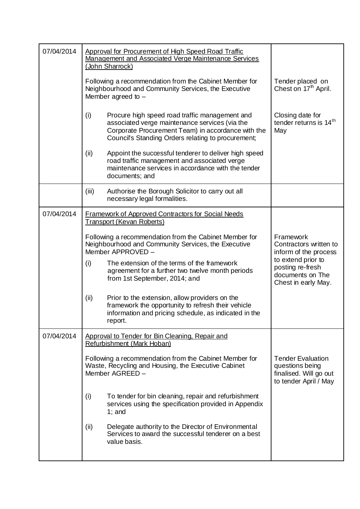| 07/04/2014 | Approval for Procurement of High Speed Road Traffic<br>Management and Associated Verge Maintenance Services<br>(John Sharrock)                                                                                      |                                                                                                |
|------------|---------------------------------------------------------------------------------------------------------------------------------------------------------------------------------------------------------------------|------------------------------------------------------------------------------------------------|
|            | Following a recommendation from the Cabinet Member for<br>Neighbourhood and Community Services, the Executive<br>Member agreed to $-$                                                                               | Tender placed on<br>Chest on 17 <sup>th</sup> April.                                           |
|            | (i)<br>Procure high speed road traffic management and<br>associated verge maintenance services (via the<br>Corporate Procurement Team) in accordance with the<br>Council's Standing Orders relating to procurement; | Closing date for<br>tender returns is 14 <sup>th</sup><br>May                                  |
|            | (ii)<br>Appoint the successful tenderer to deliver high speed<br>road traffic management and associated verge<br>maintenance services in accordance with the tender<br>documents; and                               |                                                                                                |
|            | (iii)<br>Authorise the Borough Solicitor to carry out all<br>necessary legal formalities.                                                                                                                           |                                                                                                |
| 07/04/2014 | <b>Framework of Approved Contractors for Social Needs</b><br>Transport (Kevan Roberts)                                                                                                                              |                                                                                                |
|            | Following a recommendation from the Cabinet Member for<br>Neighbourhood and Community Services, the Executive<br>Member APPROVED -                                                                                  | Framework<br>Contractors written to<br>inform of the process                                   |
|            | The extension of the terms of the framework<br>(i)<br>agreement for a further two twelve month periods<br>from 1st September, 2014; and                                                                             | to extend prior to<br>posting re-fresh<br>documents on The<br>Chest in early May.              |
|            | (ii)<br>Prior to the extension, allow providers on the<br>framework the opportunity to refresh their vehicle<br>information and pricing schedule, as indicated in the<br>report.                                    |                                                                                                |
| 07/04/2014 | Approval to Tender for Bin Cleaning, Repair and<br>Refurbishment (Mark Hoban)                                                                                                                                       |                                                                                                |
|            | Following a recommendation from the Cabinet Member for<br>Waste, Recycling and Housing, the Executive Cabinet<br>Member AGREED -                                                                                    | <b>Tender Evaluation</b><br>questions being<br>finalised. Will go out<br>to tender April / May |
|            | (i)<br>To tender for bin cleaning, repair and refurbishment<br>services using the specification provided in Appendix<br>$1$ ; and                                                                                   |                                                                                                |
|            | (ii)<br>Delegate authority to the Director of Environmental<br>Services to award the successful tenderer on a best<br>value basis.                                                                                  |                                                                                                |